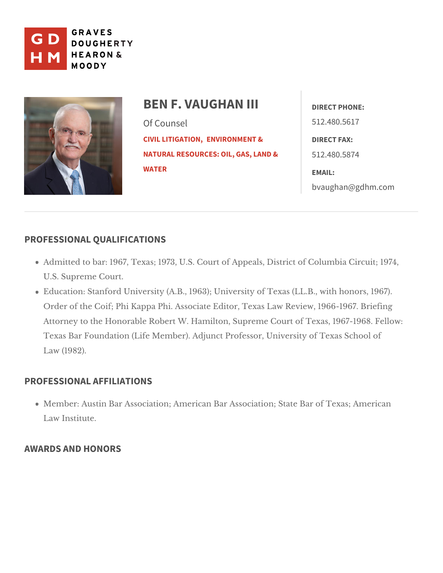

| BEN F. VAUGHANDIRECT PHONE:                 |                                         |
|---------------------------------------------|-----------------------------------------|
| Of Counsel                                  | 512.480.5617                            |
| CIVIL LITIGENMONONMENT & DIRECT FAX:        |                                         |
| NATURAL RESOURCES: OIL, GA5S1, 2LAISO. 5874 |                                         |
| WATER                                       | EMAIL:                                  |
|                                             | $b$ v a u g h a n $@$ g d h m $@$ c o m |

## PROFESSIONAL QUALIFICATIONS

Admitted to bar: 1967, Texas; 1973, U.S. Court of Appeals, District of Co U.SSupreme Court.

Education: Stanford University (A.B., 1963); University of Texas (LL.B., v Order of the Coif; Phi Kappa Phi. Associate Editor, Texas Law Review, 19 Attorney to the Honorable Robert W. Hamilton, Supreme Court of Texas, 1 Texas Bar Foundation (Life Member). Adjunct Professor, University of Texas Law (1982).

## PROFESSIONAL AFFILIATIONS

Member: Austin Bar Association; American Bar Association; State Bar of Law Institute.

## AWARDS AND HONORS